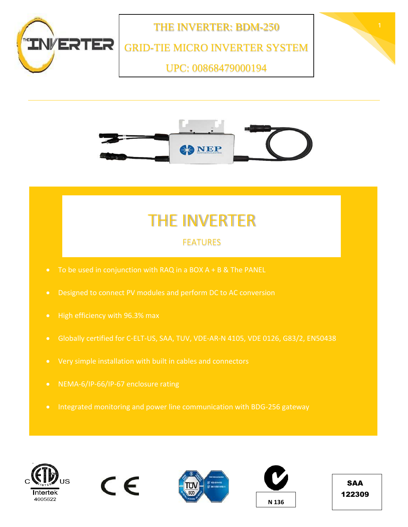



## THE INVERTER

## FEATURES

- 
- 
- 
- Globally certified for C-ELT-US, SAA, TUV, VDE-AR-N 4105, VDE 0126, G83/2, EN50438
- 
- 
- 









SAA 122309